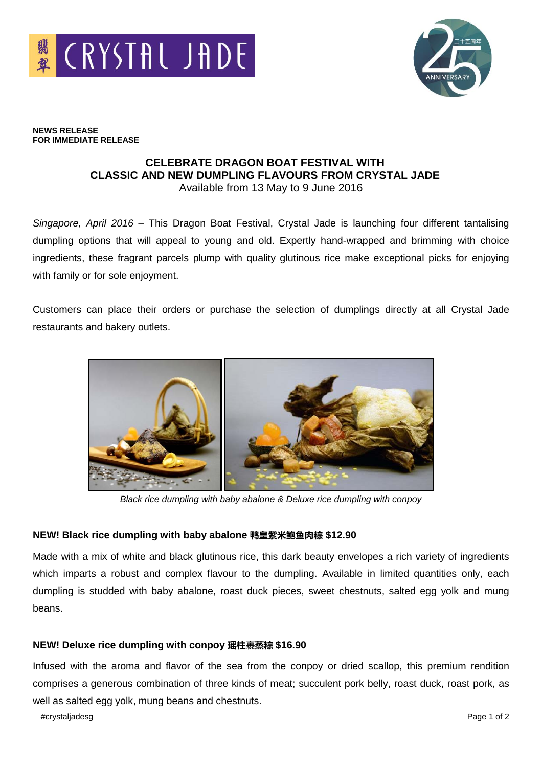



**NEWS RELEASE FOR IMMEDIATE RELEASE**

# **CELEBRATE DRAGON BOAT FESTIVAL WITH CLASSIC AND NEW DUMPLING FLAVOURS FROM CRYSTAL JADE** Available from 13 May to 9 June 2016

*Singapore, April 2016* – This Dragon Boat Festival, Crystal Jade is launching four different tantalising dumpling options that will appeal to young and old. Expertly hand-wrapped and brimming with choice ingredients, these fragrant parcels plump with quality glutinous rice make exceptional picks for enjoying with family or for sole enjoyment.

Customers can place their orders or purchase the selection of dumplings directly at all Crystal Jade restaurants and bakery outlets.



*Black rice dumpling with baby abalone & Deluxe rice dumpling with conpoy*

# **NEW! Black rice dumpling with baby abalone 鸭皇紫米鲍鱼肉粽 \$12.90**

Made with a mix of white and black glutinous rice, this dark beauty envelopes a rich variety of ingredients which imparts a robust and complex flavour to the dumpling. Available in limited quantities only, each dumpling is studded with baby abalone, roast duck pieces, sweet chestnuts, salted egg yolk and mung beans.

# **NEW! Deluxe rice dumpling with conpoy 瑶柱**裹**蒸粽 \$16.90**

Infused with the aroma and flavor of the sea from the conpoy or dried scallop, this premium rendition comprises a generous combination of three kinds of meat; succulent pork belly, roast duck, roast pork, as well as salted egg yolk, mung beans and chestnuts.

#crystaljadesg Page 1 of 2